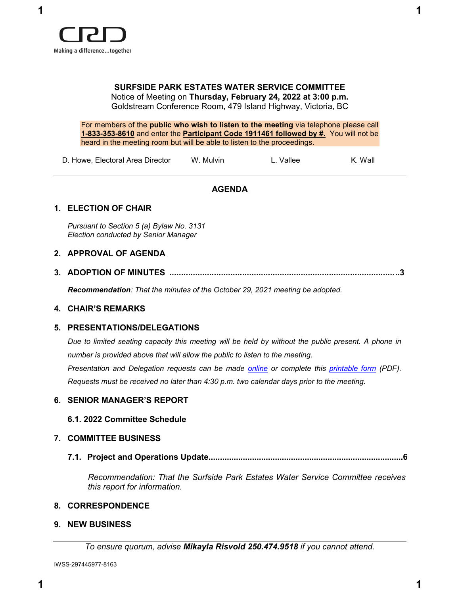

# **SURFSIDE PARK ESTATES WATER SERVICE COMMITTEE**

Notice of Meeting on **Thursday, February 24, 2022 at 3:00 p.m.** Goldstream Conference Room, 479 Island Highway, Victoria, BC

For members of the **public who wish to listen to the meeting** via telephone please call **1-833-353-8610** and enter the **Participant Code 1911461 followed by #.** You will not be heard in the meeting room but will be able to listen to the proceedings.

R. Noyes

| D. Howe, Electoral Area Director | W. Mulvin |  |
|----------------------------------|-----------|--|
|----------------------------------|-----------|--|

L. Vallee

**AGENDA**

## **1. ELECTION OF CHAIR**

*Pursuant to Section 5 (a) Bylaw No. 3131 Election conducted by Senior Manager*

## **2. APPROVAL OF AGENDA**

**3. ADOPTION OF MINUTES ..................................................................................................3**

*Recommendation: That the minutes of the October 29, 2021 meeting be adopted.*

K. Wall

## **4. CHAIR'S REMARKS**

## **5. PRESENTATIONS/DELEGATIONS**

*Due to limited seating capacity this meeting will be held by without the public present. A phone in number is provided above that will allow the public to listen to the meeting.*

*Presentation and Delegation requests can be made online or complete this printable form (PDF). Requests must be received no later than 4:30 p.m. two calendar days prior to the meeting.*

## **6. SENIOR MANAGER'S REPORT**

## **6.1. 2022 Committee Schedule**

## **7. COMMITTEE BUSINESS**

**7.1. Project and Operations Update....................................................................................6**

*Recommendation: That the Surfside Park Estates Water Service Committee receives this report for information.*

## **8. CORRESPONDENCE**

*To ensure quorum, advise Mikayla Risvold 250.474.9518 if you cannot attend.*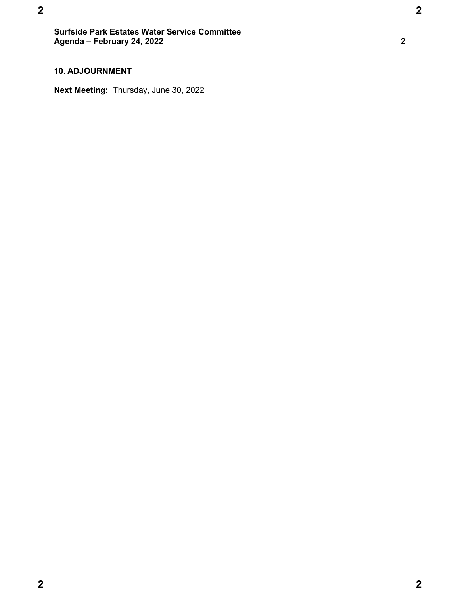**1(:%86,1(66**

## **10. ADJOURNMENT**

**Next Meeting:** Thursday, June 30, 2022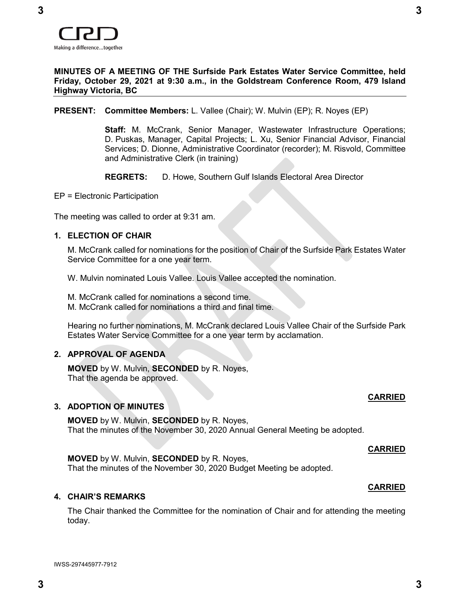

## **MINUTES OF A MEETING OF THE Surfside Park Estates Water Service Committee, held Friday, October 29, 2021 at 9:30 a.m., in the Goldstream Conference Room, 479 Island Highway Victoria, BC**

## **PRESENT: Committee Members:** L. Vallee (Chair); W. Mulvin (EP); R. Noyes (EP)

**Staff:** M. McCrank, Senior Manager, Wastewater Infrastructure Operations; D. Puskas, Manager, Capital Projects; L. Xu, Senior Financial Advisor, Financial Services; D. Dionne, Administrative Coordinator (recorder); M. Risvold, Committee and Administrative Clerk (in training)

**REGRETS:** D. Howe, Southern Gulf Islands Electoral Area Director

EP = Electronic Participation

The meeting was called to order at 9:31 am.

## **1. ELECTION OF CHAIR**

M. McCrank called for nominations for the position of Chair of the Surfside Park Estates Water Service Committee for a one year term.

W. Mulvin nominated Louis Vallee. Louis Vallee accepted the nomination.

M. McCrank called for nominations a second time.

M. McCrank called for nominations a third and final time.

Hearing no further nominations, M. McCrank declared Louis Vallee Chair of the Surfside Park Estates Water Service Committee for a one year term by acclamation.

## **2. APPROVAL OF AGENDA**

**MOVED** by W. Mulvin, **SECONDED** by R. Noyes, That the agenda be approved.

## **3. ADOPTION OF MINUTES**

**MOVED** by W. Mulvin, **SECONDED** by R. Noyes, That the minutes of the November 30, 2020 Annual General Meeting be adopted.

#### **CARRIED**

**CARRIED**

**CARRIED**

**MOVED** by W. Mulvin, **SECONDED** by R. Noyes, That the minutes of the November 30, 2020 Budget Meeting be adopted.

#### **4. CHAIR'S REMARKS**

The Chair thanked the Committee for the nomination of Chair and for attending the meeting today.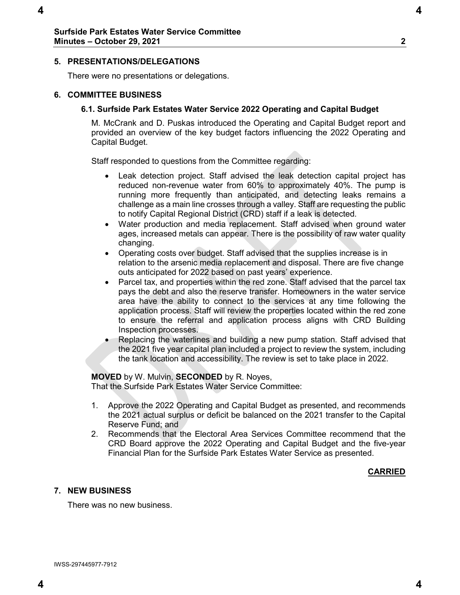## **5. PRESENTATIONS/DELEGATIONS**

There were no presentations or delegations.

## **6. COMMITTEE BUSINESS**

## **6.1. Surfside Park Estates Water Service 2022 Operating and Capital Budget**

M. McCrank and D. Puskas introduced the Operating and Capital Budget report and provided an overview of the key budget factors influencing the 2022 Operating and Capital Budget.

Staff responded to questions from the Committee regarding:

- Leak detection project. Staff advised the leak detection capital project has reduced non-revenue water from 60% to approximately 40%. The pump is running more frequently than anticipated, and detecting leaks remains a challenge as a main line crosses through a valley. Staff are requesting the public to notify Capital Regional District (CRD) staff if a leak is detected.
- Water production and media replacement. Staff advised when ground water ages, increased metals can appear. There is the possibility of raw water quality changing.
- Operating costs over budget. Staff advised that the supplies increase is in relation to the arsenic media replacement and disposal. There are five change outs anticipated for 2022 based on past years' experience.
- Parcel tax, and properties within the red zone. Staff advised that the parcel tax pays the debt and also the reserve transfer. Homeowners in the water service area have the ability to connect to the services at any time following the application process. Staff will review the properties located within the red zone to ensure the referral and application process aligns with CRD Building Inspection processes.
- Replacing the waterlines and building a new pump station. Staff advised that the 2021 five year capital plan included a project to review the system, including the tank location and accessibility. The review is set to take place in 2022.

## **MOVED** by W. Mulvin, **SECONDED** by R. Noyes,

That the Surfside Park Estates Water Service Committee:

- 1. Approve the 2022 Operating and Capital Budget as presented, and recommends the 2021 actual surplus or deficit be balanced on the 2021 transfer to the Capital Reserve Fund; and
- 2. Recommends that the Electoral Area Services Committee recommend that the CRD Board approve the 2022 Operating and Capital Budget and the five-year Financial Plan for the Surfside Park Estates Water Service as presented.

## **CARRIED**

## **7. NEW BUSINESS**

There was no new business.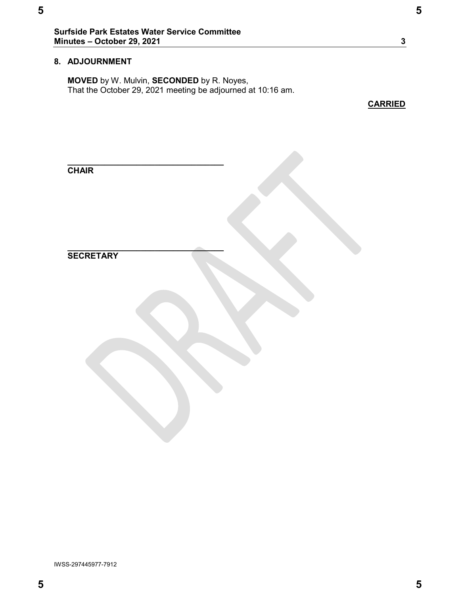## **8. ADJOURNMENT**

**MOVED** by W. Mulvin, **SECONDED** by R. Noyes, That the October 29, 2021 meeting be adjourned at 10:16 am.

**CARRIED**

| <b>CHAIR</b>     |  |
|------------------|--|
|                  |  |
|                  |  |
|                  |  |
|                  |  |
|                  |  |
|                  |  |
| <b>SECRETARY</b> |  |
|                  |  |
|                  |  |
|                  |  |
|                  |  |
|                  |  |
|                  |  |
|                  |  |
|                  |  |
|                  |  |
|                  |  |
|                  |  |
|                  |  |
|                  |  |
|                  |  |
|                  |  |
|                  |  |
|                  |  |
|                  |  |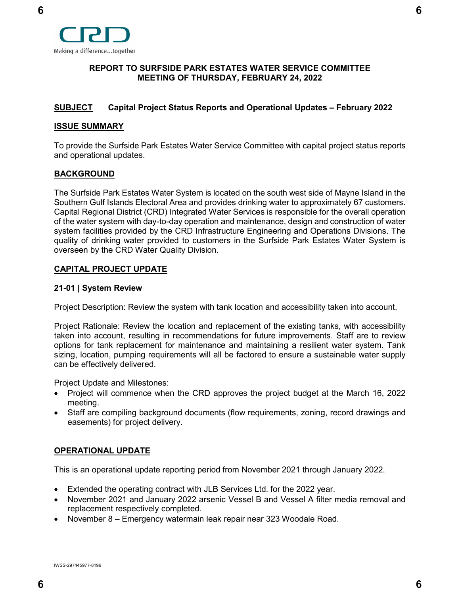

## <span id="page-5-0"></span>**[REPORT](#page-5-0) TO SURFSIDE PARK ESTATES WATER SERVICE COMMITTEE MEETING OF THURSDAY, FEBRUARY 24, 2022**

## <span id="page-5-1"></span>**[SUBJECT](#page-5-1) Capital Project Status Reports and Operational Updates – February 2022**

## <span id="page-5-2"></span>**[ISSUE SUMMARY](#page-5-2)**

To provide the Surfside Park Estates Water Service Committee with capital project status reports and operational updates.

## <span id="page-5-3"></span>**[BACKGROUND](#page-5-3)**

The Surfside Park Estates Water System is located on the south west side of Mayne Island in the Southern Gulf Islands Electoral Area and provides drinking water to approximately 67 customers. Capital Regional District (CRD) Integrated Water Services is responsible for the overall operation of the water system with day-to-day operation and maintenance, design and construction of water system facilities provided by the CRD Infrastructure Engineering and Operations Divisions. The quality of drinking water provided to customers in the Surfside Park Estates Water System is overseen by the CRD Water Quality Division.

## **CAPITAL PROJECT UPDATE**

## **21-01 | System Review**

Project Description: Review the system with tank location and accessibility taken into account.

Project Rationale: Review the location and replacement of the existing tanks, with accessibility taken into account, resulting in recommendations for future improvements. Staff are to review options for tank replacement for maintenance and maintaining a resilient water system. Tank sizing, location, pumping requirements will all be factored to ensure a sustainable water supply can be effectively delivered.

Project Update and Milestones:

- Project will commence when the CRD approves the project budget at the March 16, 2022 meeting.
- Staff are compiling background documents (flow requirements, zoning, record drawings and easements) for project delivery.

## **OPERATIONAL UPDATE**

This is an operational update reporting period from November 2021 through January 2022.

- Extended the operating contract with JLB Services Ltd. for the 2022 year.
- November 2021 and January 2022 arsenic Vessel B and Vessel A filter media removal and replacement respectively completed.
- November 8 Emergency watermain leak repair near 323 Woodale Road.